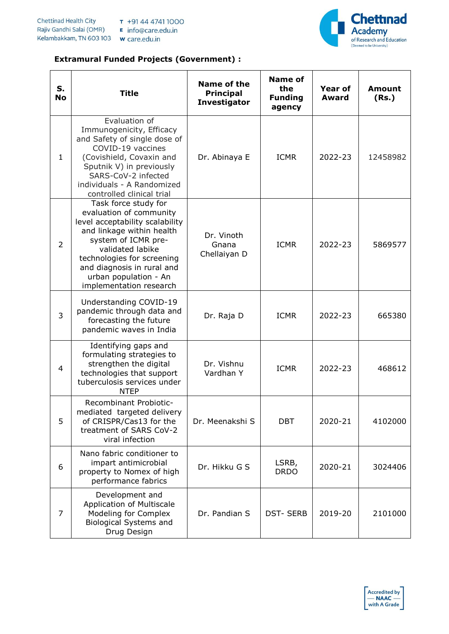

## **Extramural Funded Projects (Government) :**

| S.<br><b>No</b> | <b>Title</b>                                                                                                                                                                                                                                                               | Name of the<br><b>Principal</b><br><b>Investigator</b> | <b>Name of</b><br>the<br><b>Funding</b><br>agency | <b>Year of</b><br>Award | <b>Amount</b><br>(Rs.) |
|-----------------|----------------------------------------------------------------------------------------------------------------------------------------------------------------------------------------------------------------------------------------------------------------------------|--------------------------------------------------------|---------------------------------------------------|-------------------------|------------------------|
| $\mathbf{1}$    | Evaluation of<br>Immunogenicity, Efficacy<br>and Safety of single dose of<br>COVID-19 vaccines<br>(Covishield, Covaxin and<br>Sputnik V) in previously<br>SARS-CoV-2 infected<br>individuals - A Randomized<br>controlled clinical trial                                   | Dr. Abinaya E                                          | <b>ICMR</b>                                       | 2022-23                 | 12458982               |
| $\overline{2}$  | Task force study for<br>evaluation of community<br>level acceptability scalability<br>and linkage within health<br>system of ICMR pre-<br>validated labike<br>technologies for screening<br>and diagnosis in rural and<br>urban population - An<br>implementation research | Dr. Vinoth<br>Gnana<br>Chellaiyan D                    | <b>ICMR</b>                                       | 2022-23                 | 5869577                |
| 3               | Understanding COVID-19<br>pandemic through data and<br>forecasting the future<br>pandemic waves in India                                                                                                                                                                   | Dr. Raja D                                             | <b>ICMR</b>                                       | 2022-23                 | 665380                 |
| 4               | Identifying gaps and<br>formulating strategies to<br>strengthen the digital<br>technologies that support<br>tuberculosis services under<br><b>NTEP</b>                                                                                                                     | Dr. Vishnu<br>Vardhan Y                                | <b>ICMR</b>                                       | 2022-23                 | 468612                 |
| 5               | Recombinant Probiotic-<br>mediated targeted delivery<br>of CRISPR/Cas13 for the<br>treatment of SARS CoV-2<br>viral infection                                                                                                                                              | Dr. Meenakshi S                                        | <b>DBT</b>                                        | 2020-21                 | 4102000                |
| 6               | Nano fabric conditioner to<br>impart antimicrobial<br>property to Nomex of high<br>performance fabrics                                                                                                                                                                     | Dr. Hikku G S                                          | LSRB,<br><b>DRDO</b>                              | 2020-21                 | 3024406                |
| 7               | Development and<br>Application of Multiscale<br>Modeling for Complex<br><b>Biological Systems and</b><br>Drug Design                                                                                                                                                       | Dr. Pandian S                                          | <b>DST-SERB</b>                                   | 2019-20                 | 2101000                |

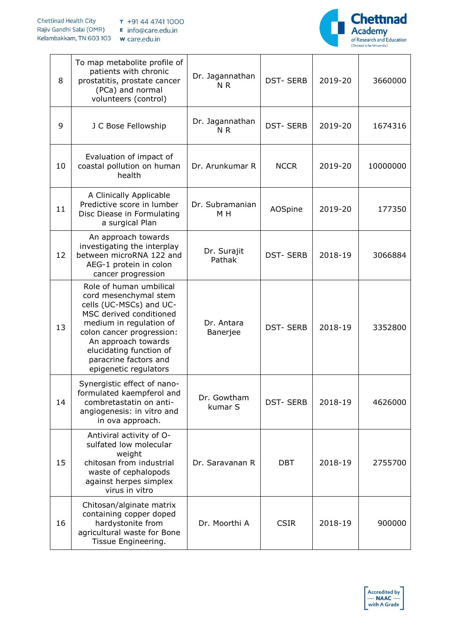## **Chettinad Health City** T +91 44 4741 1000 Rajiv Gandhi Salai (OMR) E info@care.edu.in Kelambakkam, TN 603 103 w care.edu.in



| 8  | To map metabolite profile of<br>patients with chronic<br>prostatitis, prostate cancer<br>(PCa) and normal<br>volunteers (control)                                                                                                                                  | Dr. Jagannathan<br>N <sub>R</sub> | <b>DST-SERB</b> | 2019-20 | 3660000  |
|----|--------------------------------------------------------------------------------------------------------------------------------------------------------------------------------------------------------------------------------------------------------------------|-----------------------------------|-----------------|---------|----------|
| 9  | J C Bose Fellowship                                                                                                                                                                                                                                                | Dr. Jagannathan<br>N <sub>R</sub> | <b>DST-SERB</b> | 2019-20 | 1674316  |
| 10 | Evaluation of impact of<br>coastal pollution on human<br>health                                                                                                                                                                                                    | Dr. Arunkumar R                   | <b>NCCR</b>     | 2019-20 | 10000000 |
| 11 | A Clinically Applicable<br>Predictive score in lumber<br>Disc Diease in Formulating<br>a surgical Plan                                                                                                                                                             | Dr. Subramanian<br>M H            | AOSpine         | 2019-20 | 177350   |
| 12 | An approach towards<br>investigating the interplay<br>between microRNA 122 and<br>AEG-1 protein in colon<br>cancer progression                                                                                                                                     | Dr. Surajit<br>Pathak             | <b>DST-SERB</b> | 2018-19 | 3066884  |
| 13 | Role of human umbilical<br>cord mesenchymal stem<br>cells (UC-MSCs) and UC-<br>MSC derived conditioned<br>medium in regulation of<br>colon cancer progression:<br>An approach towards<br>elucidating function of<br>paracrine factors and<br>epigenetic regulators | Dr. Antara<br>Banerjee            | <b>DST-SERB</b> | 2018-19 | 3352800  |
| 14 | Synergistic effect of nano-<br>formulated kaempferol and<br>combretastatin on anti-<br>angiogenesis: in vitro and<br>in ova approach.                                                                                                                              | Dr. Gowtham<br>kumar S            | <b>DST-SERB</b> | 2018-19 | 4626000  |
| 15 | Antiviral activity of O-<br>sulfated low molecular<br>weight<br>chitosan from industrial<br>waste of cephalopods<br>against herpes simplex<br>virus in vitro                                                                                                       | Dr. Saravanan R                   | <b>DBT</b>      | 2018-19 | 2755700  |
| 16 | Chitosan/alginate matrix<br>containing copper doped<br>hardystonite from<br>agricultural waste for Bone<br>Tissue Engineering.                                                                                                                                     | Dr. Moorthi A                     | <b>CSIR</b>     | 2018-19 | 900000   |